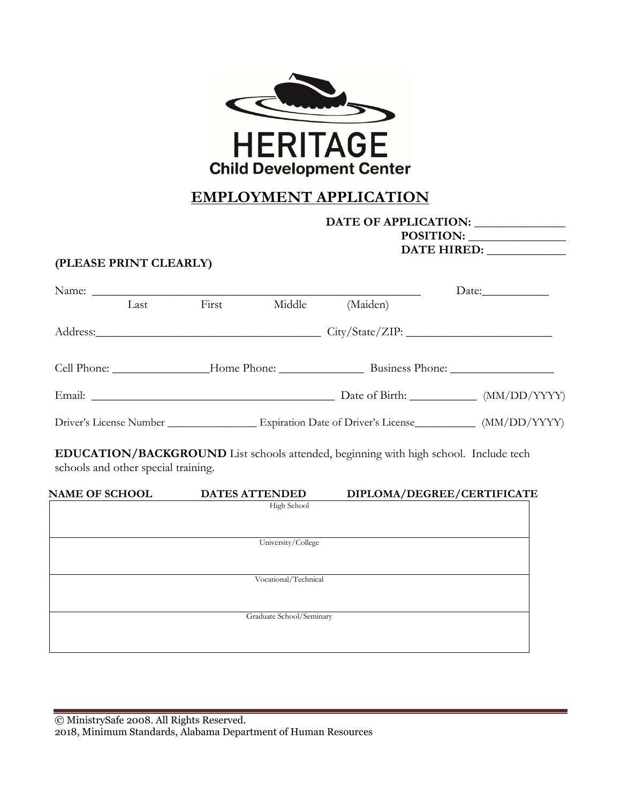

# **EMPLOYMENT APPLICATION**

### **DATE OF APPLICATION: \_\_\_\_\_\_\_\_\_\_\_\_\_\_\_ POSITION: \_\_\_\_\_\_\_\_\_\_\_\_\_\_\_\_ DATE HIRED: \_\_\_\_\_\_\_\_\_\_\_\_\_**

## **(PLEASE PRINT CLEARLY)**

|                                     |      |       |                                      |          | Date:                                                                                                   |
|-------------------------------------|------|-------|--------------------------------------|----------|---------------------------------------------------------------------------------------------------------|
|                                     | Last | First | Middle                               | (Maiden) |                                                                                                         |
|                                     |      |       |                                      |          |                                                                                                         |
|                                     |      |       |                                      |          |                                                                                                         |
|                                     |      |       |                                      |          |                                                                                                         |
|                                     |      |       |                                      |          | Driver's License Number ___________________ Expiration Date of Driver's License __________ (MM/DD/YYYY) |
| schools and other special training. |      |       |                                      |          | <b>EDUCATION/BACKGROUND</b> List schools attended, beginning with high school. Include tech             |
| <b>NAME OF SCHOOL</b>               |      |       | <b>DATES ATTENDED</b><br>High School |          | DIPLOMA/DEGREE/CERTIFICATE                                                                              |
|                                     |      |       | University/College                   |          |                                                                                                         |
|                                     |      |       |                                      |          |                                                                                                         |

Graduate School/Seminary

Vocational/Technical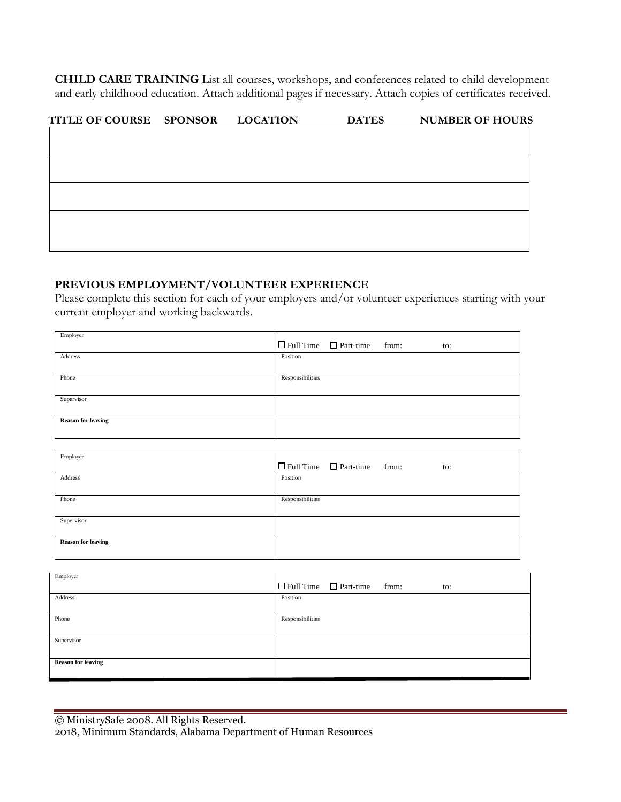**CHILD CARE TRAINING** List all courses, workshops, and conferences related to child development and early childhood education. Attach additional pages if necessary. Attach copies of certificates received.

| TITLE OF COURSE SPONSOR | <b>LOCATION</b> | <b>DATES</b> | <b>NUMBER OF HOURS</b> |
|-------------------------|-----------------|--------------|------------------------|
|                         |                 |              |                        |
|                         |                 |              |                        |
|                         |                 |              |                        |
|                         |                 |              |                        |
|                         |                 |              |                        |
|                         |                 |              |                        |
|                         |                 |              |                        |
|                         |                 |              |                        |

### **PREVIOUS EMPLOYMENT/VOLUNTEER EXPERIENCE**

Please complete this section for each of your employers and/or volunteer experiences starting with your current employer and working backwards.

| Employer                  |                                                |
|---------------------------|------------------------------------------------|
|                           | $\Box$ Full Time $\Box$ Part-time from:<br>to: |
| Address                   | Position                                       |
|                           |                                                |
| Phone                     | Responsibilities                               |
|                           |                                                |
| Supervisor                |                                                |
|                           |                                                |
| <b>Reason for leaving</b> |                                                |
|                           |                                                |

| Employer                  | $\Box$ Full Time $\Box$ Part-time from:<br>to: |
|---------------------------|------------------------------------------------|
| Address                   | Position                                       |
| Phone                     | Responsibilities                               |
| Supervisor                |                                                |
| <b>Reason for leaving</b> |                                                |

| Employer                  | $\Box$ Full Time $\Box$ Part-time from:<br>to: |
|---------------------------|------------------------------------------------|
| Address                   | Position                                       |
| Phone                     | Responsibilities                               |
| Supervisor                |                                                |
| <b>Reason for leaving</b> |                                                |

| © MinistrySafe 2008. All Rights Reserved.                      |
|----------------------------------------------------------------|
| 2018, Minimum Standards, Alabama Department of Human Resources |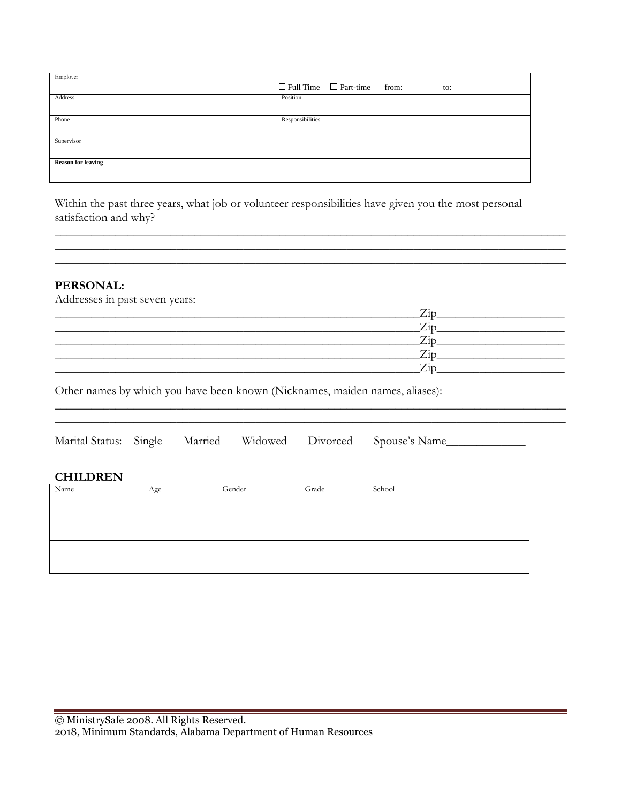| Employer                  | $\Box$ Full Time $\Box$ Part-time from:<br>to: |
|---------------------------|------------------------------------------------|
| Address                   | Position                                       |
| Phone                     | Responsibilities                               |
| Supervisor                |                                                |
| <b>Reason for leaving</b> |                                                |

Within the past three years, what job or volunteer responsibilities have given you the most personal satisfaction and why?

## **PERSONAL:**

Addresses in past seven years:

| $\rightarrow$ |
|---------------|
|               |
| $\rightarrow$ |
|               |

\_\_\_\_\_\_\_\_\_\_\_\_\_\_\_\_\_\_\_\_\_\_\_\_\_\_\_\_\_\_\_\_\_\_\_\_\_\_\_\_\_\_\_\_\_\_\_\_\_\_\_\_\_\_\_\_\_\_\_\_\_\_\_\_\_\_\_\_\_\_\_\_\_\_\_\_\_\_\_\_\_\_\_\_

\_\_\_\_\_\_\_\_\_\_\_\_\_\_\_\_\_\_\_\_\_\_\_\_\_\_\_\_\_\_\_\_\_\_\_\_\_\_\_\_\_\_\_\_\_\_\_\_\_\_\_\_\_\_\_\_\_\_\_\_\_\_\_\_\_\_\_\_\_\_\_\_\_\_\_\_\_\_\_\_\_\_\_\_ \_\_\_\_\_\_\_\_\_\_\_\_\_\_\_\_\_\_\_\_\_\_\_\_\_\_\_\_\_\_\_\_\_\_\_\_\_\_\_\_\_\_\_\_\_\_\_\_\_\_\_\_\_\_\_\_\_\_\_\_\_\_\_\_\_\_\_\_\_\_\_\_\_\_\_\_\_\_\_\_\_\_\_\_ \_\_\_\_\_\_\_\_\_\_\_\_\_\_\_\_\_\_\_\_\_\_\_\_\_\_\_\_\_\_\_\_\_\_\_\_\_\_\_\_\_\_\_\_\_\_\_\_\_\_\_\_\_\_\_\_\_\_\_\_\_\_\_\_\_\_\_\_\_\_\_\_\_\_\_\_\_\_\_\_\_\_\_\_

Other names by which you have been known (Nicknames, maiden names, aliases):

| <b>CHILDREN</b><br>Name | Age | Gender | Grade | School |
|-------------------------|-----|--------|-------|--------|
|                         |     |        |       |        |
|                         |     |        |       |        |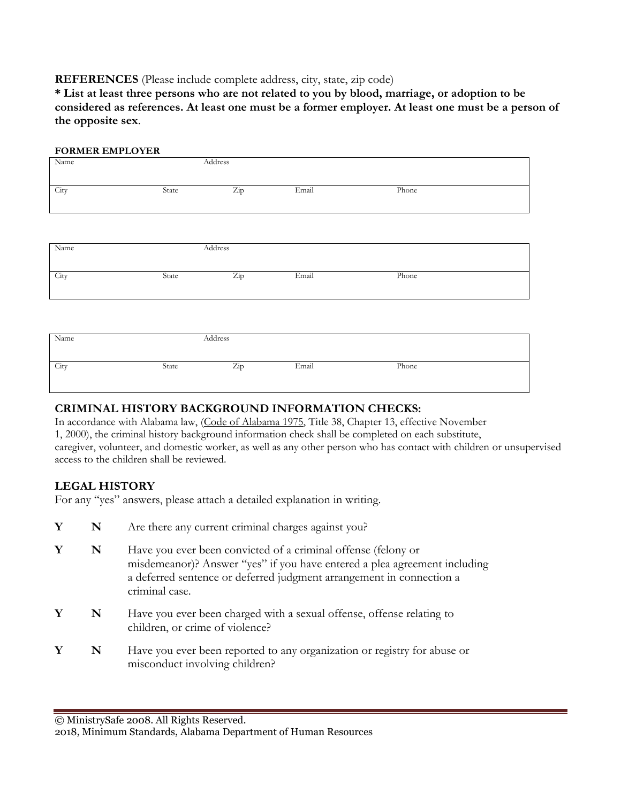#### **REFERENCES** (Please include complete address, city, state, zip code)

**\* List at least three persons who are not related to you by blood, marriage, or adoption to be considered as references. At least one must be a former employer. At least one must be a person of the opposite sex**.

| <b>FORMER EMPLOYER</b> |       |         |       |       |  |
|------------------------|-------|---------|-------|-------|--|
| Name                   |       | Address |       |       |  |
| City                   | State | Zip     | Email | Phone |  |
|                        |       |         |       |       |  |
| Name                   |       | Address |       |       |  |
| City                   | State | Zip     | Email | Phone |  |
|                        |       |         |       |       |  |
| Name                   |       | Address |       |       |  |
| City                   | State | Zip     | Email | Phone |  |

#### **CRIMINAL HISTORY BACKGROUND INFORMATION CHECKS:**

In accordance with Alabama law, (Code of Alabama 1975, Title 38, Chapter 13, effective November 1, 2000), the criminal history background information check shall be completed on each substitute, caregiver, volunteer, and domestic worker, as well as any other person who has contact with children or unsupervised access to the children shall be reviewed.

## **LEGAL HISTORY**

For any "yes" answers, please attach a detailed explanation in writing.

- **Y N** Are there any current criminal charges against you?
- **Y N** Have you ever been convicted of a criminal offense (felony or misdemeanor)? Answer "yes" if you have entered a plea agreement including a deferred sentence or deferred judgment arrangement in connection a criminal case.
- **Y N** Have you ever been charged with a sexual offense, offense relating to children, or crime of violence?
- **Y N** Have you ever been reported to any organization or registry for abuse or misconduct involving children?